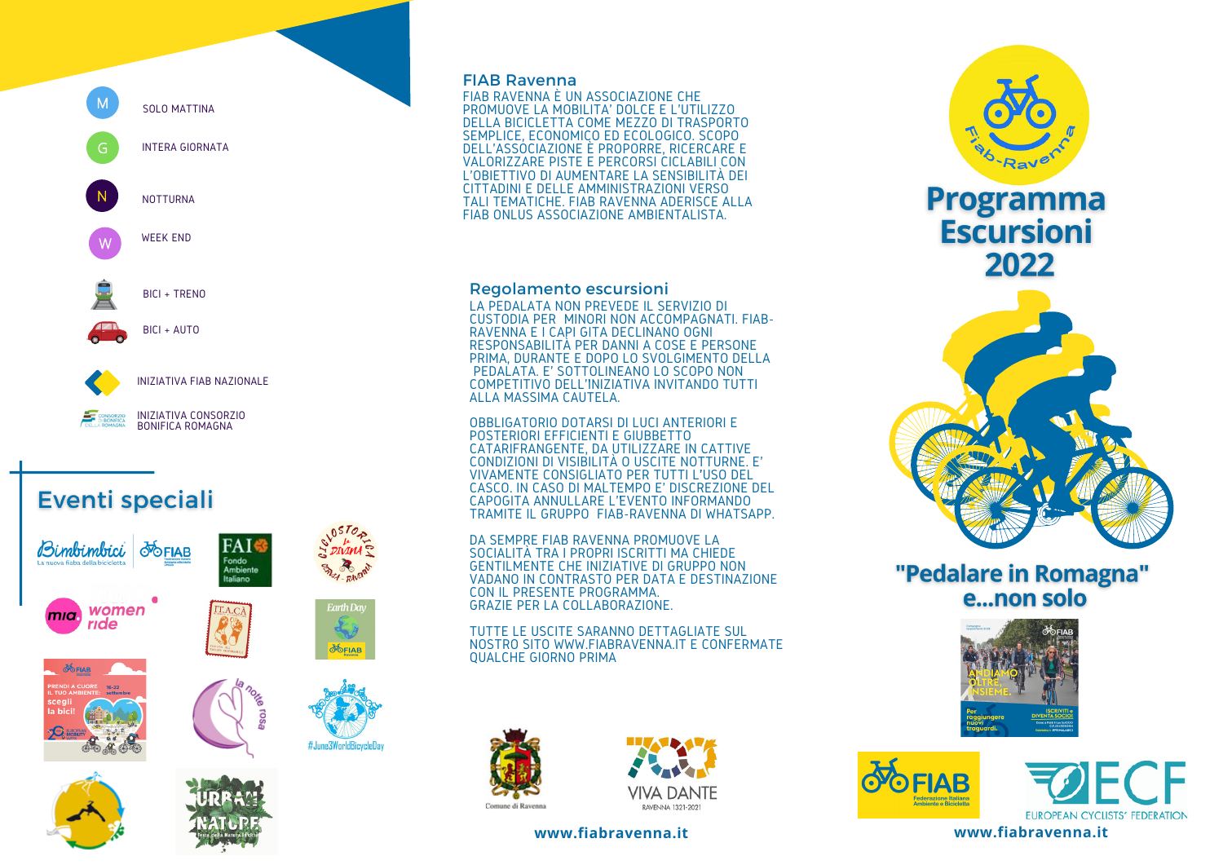**SOLO MATTINA** G **INTERA GIORNATA NOTTURNA WEEK END** BICI + TRENO

s

**INIZIATIVA FIAB NAZIONALE** 

INIZIATIVA CONSORZIO<br>BONIFICA ROMAGNA

BICI + AUTO

# **Eventi speciali**











FAIS

Fondo<br>Ambiente<br>Italiano

**Earth Day** 

**POFIAB** 

#June3WorldBicycleDa

#### **FIAB Ravenna**

FIAB RAVENNA È UN ASSOCIAZIONE CHE PROMUOVE LA MOBILITA' DOLCE E L'UTILIZZO PELLA BICICLETTA COME MEZZO DI TRASPORTO<br>SEMPLICE, ECONOMICO ED ECOLOGICO. SCOPO<br>DELL'ASSOCIAZIONE È PROPORRE, RICERCARE E<br>VALORIZZARE PISTE E PERCORSI CICLABILI CON L'OBJETTIVO DI AUMENTARE LA SENSIBILITÀ DEI TALI TEMATICHE. FIAB RAVENNA ADERISCE ALLA FIAB ONLUS ASSOCIAZIONE AMBIENTALISTA

### **Regolamento escursioni**

LA PEDALATA NON PREVEDE IL SERVIZIO DI CUSTODIA PER MINORI NON ACCOMPAGNATI. FIAB-RAVENNA E I CAPI GITA DECLINANO OGNI RESPONSABILITÀ PER DANNI A COSE E PERSONE PRIMA. DURANTE E DOPO LO SVOLGIMENTO DELLA PEDALATA. E' SOTTOLINEANO LO SCOPO NON COMPETITIVO DELL'INIZIATIVA INVITANDO TUTTI ALLA MASSIMA CAUTELA.

OBBLIGATORIO DOTARSI DI LUCI ANTERIORI E POSTERIORI EFFICIENTI E GIUBBETTO CATARIFRANGENTE, DA UTILIZZARE IN CATTIVE CONDIZIONI DI VISIBILITÀ O USCITE NOTTURNE. E' VIVAMENTE CONSIGLIATO PER TUTTI L'USO DEL<br>CASCO. IN CASO DI MALTEMPO E' DISCREZIONE DEL CAPOGITA ANNULLARE L'EVENTO INFORMANDO<br>TRAMITE IL GRUPPO FIAB-RAVENNA DI WHATSAPP.

DA SEMPRE FIAB RAVENNA PROMUOVE LA SOCIALITÀ TRA I PROPRI ISCRITTI MA CHIÈDE<br>GENTILMENTE CHE INIZIATIVE DI GRUPPO NON VADANO IN CONTRASTO PER DATA E DESTINAZIONE CON IL PRESENTE PROGRAMMA. GRAZIE PER LA COLLABORAZIONE

TUTTE LE USCITE SARANNO DETTAGLIATE SUL NOSTRO SITO WWW.FIABRAVENNA.IT E CONFERMATE **OUALCHE GIORNO PRIMA** 









## "Pedalare in Romagna" e...non solo







www.fiabravenna.it